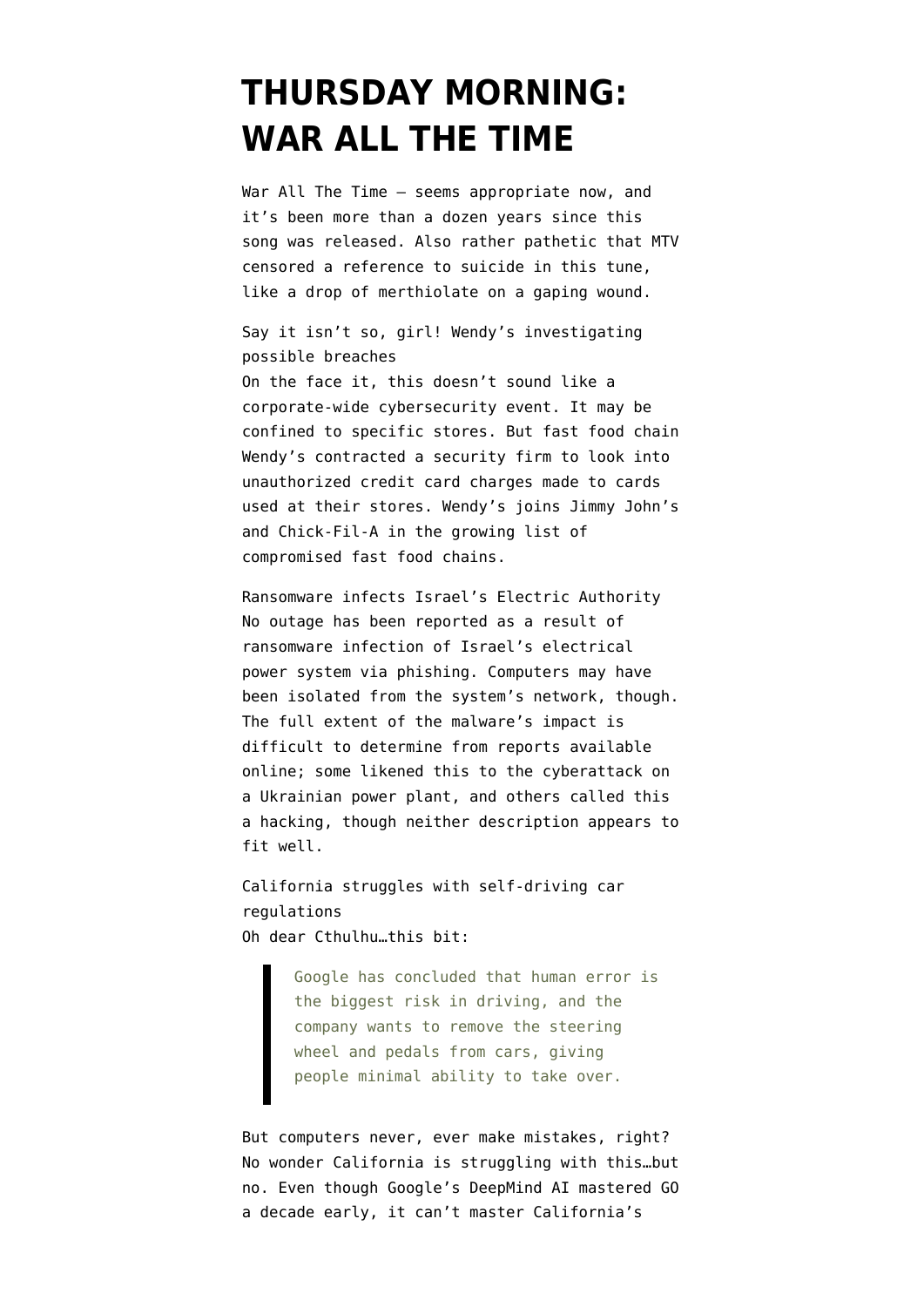## **[THURSDAY MORNING:](https://www.emptywheel.net/2016/01/28/thursday-morning-war-all-the-time/) [WAR ALL THE TIME](https://www.emptywheel.net/2016/01/28/thursday-morning-war-all-the-time/)**

War All The Time — seems appropriate now, and it's been more than a dozen years since this song was released. Also rather pathetic that MTV censored a reference to suicide in this tune, like a drop of merthiolate on a gaping wound.

Say it isn't so, girl! Wendy's investigating possible breaches

On the face it, this doesn't sound like a corporate-wide cybersecurity event. It may be confined to specific stores. But fast food chain [Wendy's contracted a security firm](http://krebsonsecurity.com/2016/01/wendys-probes-reports-of-credit-card-breach/) to look into unauthorized credit card charges made to cards used at their stores. Wendy's joins Jimmy John's and Chick-Fil-A in the growing list of compromised fast food chains.

Ransomware infects Israel's Electric Authority No outage has been reported as a result of [ransomware infection of Israel's electrical](http://www.computerworld.com/article/3026609/security/no-israels-power-grid-wasnt-hacked-but-ransomware-hit-israels-electric-authority.html) [power system](http://www.computerworld.com/article/3026609/security/no-israels-power-grid-wasnt-hacked-but-ransomware-hit-israels-electric-authority.html) via phishing. Computers may have been isolated from the system's network, though. The full extent of the malware's impact is difficult to determine from [reports available](https://thehackernews.com/2016/01/power-grid-cyberattack.html) [online](https://thehackernews.com/2016/01/power-grid-cyberattack.html); some likened this to the cyberattack on a Ukrainian power plant, and others called this a hacking, though neither description appears to fit well.

California struggles with self-driving car regulations Oh dear Cthulhu…this bit:

> Google has concluded that human error is the biggest risk in driving, and the company wants to remove the steering wheel and pedals from cars, giving people minimal ability to take over.

But computers never, ever make mistakes, right? No wonder [California is struggling with this](http://phys.org/news/2016-01-california-self-driving-cars.html)…but no. Even though [Google's DeepMind AI mastered GO](http://www.technologyreview.com/news/546066/googles-ai-masters-the-game-of-go-a-decade-earlier-than-expected/) a decade early, it can't master California's